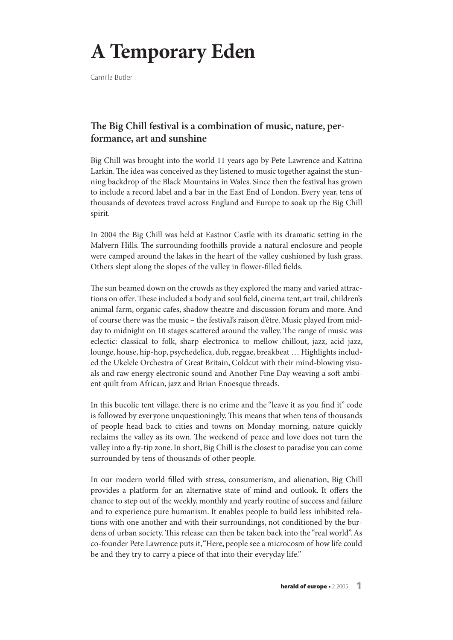## **A Temporary Eden**

Camilla Butler

## **e Big Chill festival is a combination of music, nature, performance, art and sunshine**

Big Chill was brought into the world 11 years ago by Pete Lawrence and Katrina Larkin. The idea was conceived as they listened to music together against the stunning backdrop of the Black Mountains in Wales. Since then the festival has grown to include a record label and a bar in the East End of London. Every year, tens of thousands of devotees travel across England and Europe to soak up the Big Chill spirit.

In 2004 the Big Chill was held at Eastnor Castle with its dramatic setting in the Malvern Hills. The surrounding foothills provide a natural enclosure and people were camped around the lakes in the heart of the valley cushioned by lush grass. Others slept along the slopes of the valley in flower-filled fields.

The sun beamed down on the crowds as they explored the many and varied attractions on offer. These included a body and soul field, cinema tent, art trail, children's animal farm, organic cafes, shadow theatre and discussion forum and more. And of course there was the music – the festival's raison d'être. Music played from midday to midnight on 10 stages scattered around the valley. The range of music was eclectic: classical to folk, sharp electronica to mellow chillout, jazz, acid jazz, lounge, house, hip-hop, psychedelica, dub, reggae, breakbeat ... Highlights included the Ukelele Orchestra of Great Britain, Coldcut with their mind-blowing visuals and raw energy electronic sound and Another Fine Day weaving a soft ambient quilt from African, jazz and Brian Enoesque threads.

In this bucolic tent village, there is no crime and the "leave it as you find it" code is followed by everyone unquestioningly. This means that when tens of thousands of people head back to cities and towns on Monday morning, nature quickly reclaims the valley as its own. The weekend of peace and love does not turn the valley into a fly-tip zone.In short, Big Chill is the closest to paradise you can come surrounded by tens of thousands of other people.

In our modern world filled with stress, consumerism, and alienation, Big Chill provides a platform for an alternative state of mind and outlook. It offers the chance to step out of the weekly, monthly and yearly routine of success and failure and to experience pure humanism. It enables people to build less inhibited relations with one another and with their surroundings, not conditioned by the burdens of urban society. Fis release can then be taken back into the "real world".As co-founder Pete Lawrence puts it,"Here, people see a microcosm of how life could be and they try to carry a piece of that into their everyday life."